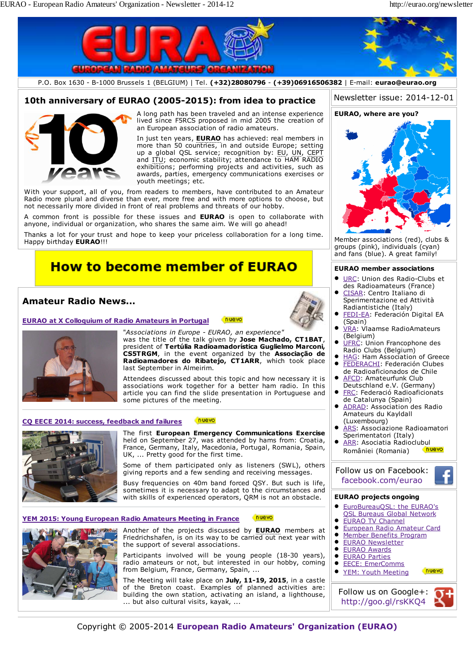